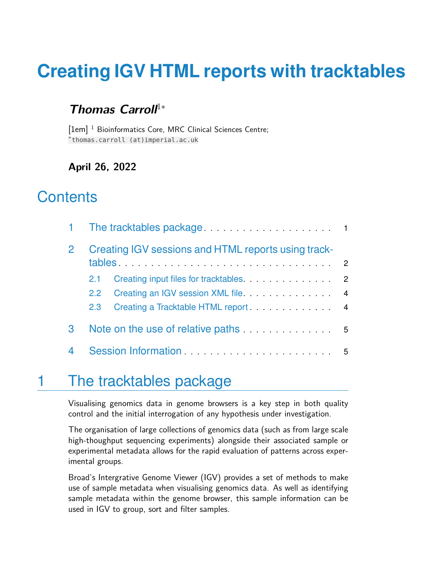# **Creating IGV HTML reports with tracktables**

#### Thomas Carroll<sup>1</sup><sup>∗</sup>

[1em] <sup>1</sup> Bioinformatics Core, MRC Clinical Sciences Centre; ∗ thomas.carroll (at)imperial.ac.uk

#### **April 26, 2022**

### **Contents**

|   | 1 The tracktables package <b>Exercise 20</b> 1<br>Creating IGV sessions and HTML reports using track-<br>$tables. \ldots \ldots \ldots \ldots \ldots \ldots \ldots \ldots \ldots \ldots \ldots \ldots 2$ |                                                          |                |
|---|----------------------------------------------------------------------------------------------------------------------------------------------------------------------------------------------------------|----------------------------------------------------------|----------------|
|   |                                                                                                                                                                                                          |                                                          |                |
|   | $2.1 -$                                                                                                                                                                                                  |                                                          |                |
|   | $2.2^{\circ}$                                                                                                                                                                                            |                                                          | $\overline{4}$ |
|   | 2.3                                                                                                                                                                                                      | Creating a Tracktable HTML report entertainment of the 4 |                |
| 3 |                                                                                                                                                                                                          |                                                          |                |
|   |                                                                                                                                                                                                          |                                                          |                |

## <span id="page-0-0"></span>1 The tracktables package

Visualising genomics data in genome browsers is a key step in both quality control and the initial interrogation of any hypothesis under investigation.

The organisation of large collections of genomics data (such as from large scale high-thoughput sequencing experiments) alongside their associated sample or experimental metadata allows for the rapid evaluation of patterns across experimental groups.

Broad's Intergrative Genome Viewer (IGV) provides a set of methods to make use of sample metadata when visualising genomics data. As well as identifying sample metadata within the genome browser, this sample information can be used in IGV to group, sort and filter samples.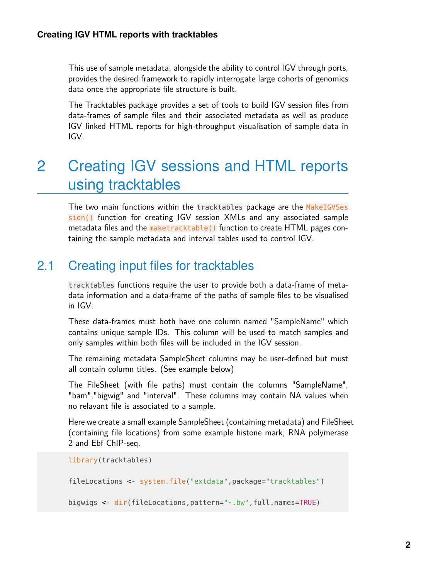This use of sample metadata, alongside the ability to control IGV through ports, provides the desired framework to rapidly interrogate large cohorts of genomics data once the appropriate file structure is built.

The Tracktables package provides a set of tools to build IGV session files from data-frames of sample files and their associated metadata as well as produce IGV linked HTML reports for high-throughput visualisation of sample data in IGV.

## <span id="page-1-0"></span>2 Creating IGV sessions and HTML reports using tracktables

The two main functions within the tracktables package are the MakeIGVSes sion() function for creating IGV session XMLs and any associated sample metadata files and the maketracktable() function to create HTML pages containing the sample metadata and interval tables used to control IGV.

### <span id="page-1-1"></span>2.1 Creating input files for tracktables

tracktables functions require the user to provide both a data-frame of metadata information and a data-frame of the paths of sample files to be visualised in IGV.

These data-frames must both have one column named "SampleName" which contains unique sample IDs. This column will be used to match samples and only samples within both files will be included in the IGV session.

The remaining metadata SampleSheet columns may be user-defined but must all contain column titles. (See example below)

The FileSheet (with file paths) must contain the columns "SampleName", "bam","bigwig" and "interval". These columns may contain NA values when no relavant file is associated to a sample.

Here we create a small example SampleSheet (containing metadata) and FileSheet (containing file locations) from some example histone mark, RNA polymerase 2 and Ebf ChIP-seq.

```
library(tracktables)
fileLocations <- system.file("extdata",package="tracktables")
bigwigs <- dir(fileLocations,pattern="*.bw",full.names=TRUE)
```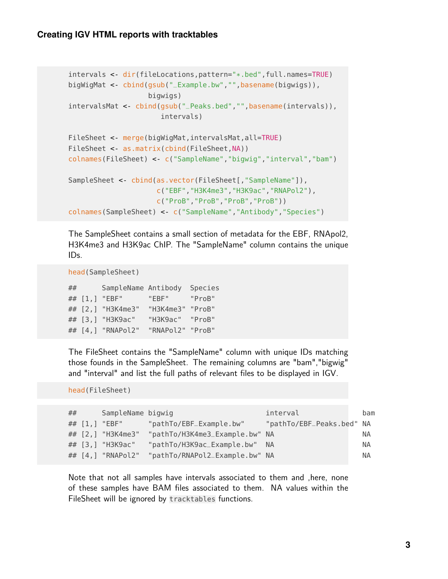#### **Creating IGV HTML reports with tracktables**

```
intervals <- dir(fileLocations,pattern="*.bed",full.names=TRUE)
bigWigMat <- cbind(gsub("_Example.bw","",basename(bigwigs)),
                   bigwigs)
intervalsMat < cbind(gsub("_Peaks.bed","",basename(intervals)),
                      intervals)
FileSheet <- merge(bigWigMat,intervalsMat,all=TRUE)
FileSheet < as.matrix(cbind(FileSheet,NA))
colnames(FileSheet) <- c("SampleName","bigwig","interval","bam")
SampleSheet < cbind(as.vector(FileSheet[,"SampleName"]),
                     c("EBF","H3K4me3","H3K9ac","RNAPol2"),
                     c("ProB","ProB","ProB","ProB"))
colnames(SampleSheet) <- c("SampleName","Antibody","Species")
```
The SampleSheet contains a small section of metadata for the EBF, RNApol2, H3K4me3 and H3K9ac ChIP. The "SampleName" column contains the unique IDs.

```
head(SampleSheet)
```

| ## |          | SampleName Antibody |                  | Species |
|----|----------|---------------------|------------------|---------|
|    | ## [1, ] | "EBF"               | "EBF"            | "ProB"  |
|    |          | ## [2,] "H3K4me3"   | "H3K4me3"        | "ProB"  |
|    |          | ## [3,] "H3K9ac"    | "H3K9ac"         | "ProB"  |
|    |          | ## [4,] "RNAPol2"   | "RNAPol2" "ProB" |         |

The FileSheet contains the "SampleName" column with unique IDs matching those founds in the SampleSheet. The remaining columns are "bam","bigwig" and "interval" and list the full paths of relevant files to be displayed in IGV.

```
head(FileSheet)
```

| ## | SampleName bigwig |                                | interval                  | bam       |
|----|-------------------|--------------------------------|---------------------------|-----------|
|    | ## [1,] "EBF"     | "pathTo/EBF_Example.bw"        | "pathTo/EBF_Peaks.bed" NA |           |
|    | ## [2,] "H3K4me3" | "pathTo/H3K4me3_Example.bw" NA |                           | ΝA        |
|    | ## [3,] "H3K9ac"  | "pathTo/H3K9ac_Example.bw" NA  |                           | ΝA        |
|    | ## [4,] "RNAPol2" | "pathTo/RNAPol2_Example.bw" NA |                           | <b>NA</b> |
|    |                   |                                |                           |           |

<span id="page-2-0"></span>Note that not all samples have intervals associated to them and ,here, none of these samples have BAM files associated to them. NA values within the FileSheet will be ignored by tracktables functions.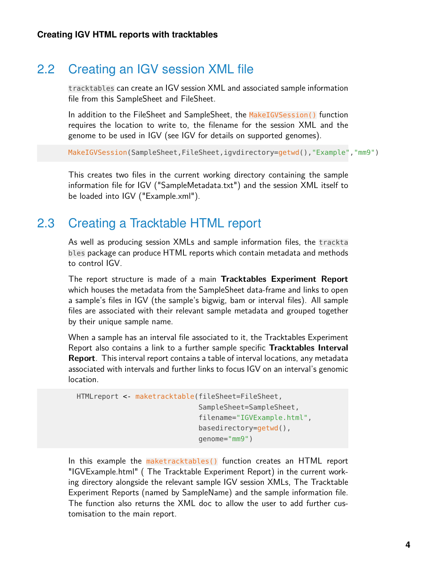#### 2.2 Creating an IGV session XML file

tracktables can create an IGV session XML and associated sample information file from this SampleSheet and FileSheet.

In addition to the FileSheet and SampleSheet, the MakeIGVSession() function requires the location to write to, the filename for the session XML and the genome to be used in IGV (see IGV for details on supported genomes).

MakeIGVSession(SampleSheet,FileSheet,igvdirectory=getwd(),"Example","mm9")

<span id="page-3-0"></span>This creates two files in the current working directory containing the sample information file for IGV ("SampleMetadata.txt") and the session XML itself to be loaded into IGV ("Example.xml").

#### 2.3 Creating a Tracktable HTML report

As well as producing session XMLs and sample information files, the trackta bles package can produce HTML reports which contain metadata and methods to control IGV.

The report structure is made of a main **Tracktables Experiment Report** which houses the metadata from the SampleSheet data-frame and links to open a sample's files in IGV (the sample's bigwig, bam or interval files). All sample files are associated with their relevant sample metadata and grouped together by their unique sample name.

When a sample has an interval file associated to it, the Tracktables Experiment Report also contains a link to a further sample specific **Tracktables Interval Report**. This interval report contains a table of interval locations, any metadata associated with intervals and further links to focus IGV on an interval's genomic location.

```
HTMLreport <- maketracktable(fileSheet=FileSheet,
                              SampleSheet=SampleSheet,
                              filename="IGVExample.html",
                              basedirectory=getwd(),
                              genome="mm9")
```
In this example the maketracktables() function creates an HTML report "IGVExample.html" ( The Tracktable Experiment Report) in the current working directory alongside the relevant sample IGV session XMLs, The Tracktable Experiment Reports (named by SampleName) and the sample information file. The function also returns the XML doc to allow the user to add further customisation to the main report.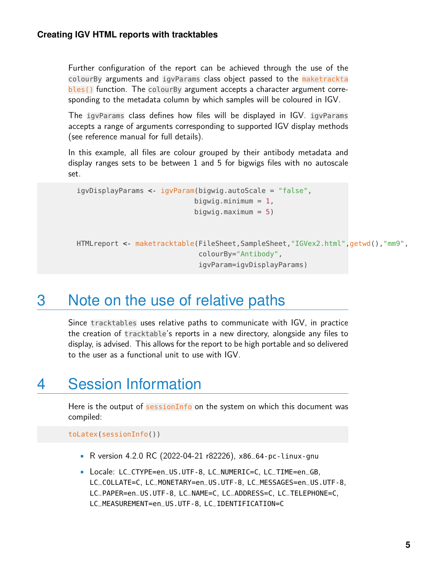Further configuration of the report can be achieved through the use of the colourBy arguments and igvParams class object passed to the maketrackta bles() function. The colourBy argument accepts a character argument corresponding to the metadata column by which samples will be coloured in IGV.

The igvParams class defines how files will be displayed in IGV. igvParams accepts a range of arguments corresponding to supported IGV display methods (see reference manual for full details).

In this example, all files are colour grouped by their antibody metadata and display ranges sets to be between 1 and 5 for bigwigs files with no autoscale set.

```
igvDisplayParams <- igvParam(bigwig.autoScale = "false",
                            bigwig.minimum = 1,
                            bigwig.maximum = 5)
HTMLreport <- maketracktable(FileSheet,SampleSheet,"IGVex2.html",getwd(),"mm9",
                             colourBy="Antibody",
                             igvParam=igvDisplayParams)
```
## <span id="page-4-0"></span>3 Note on the use of relative paths

Since tracktables uses relative paths to communicate with IGV, in practice the creation of tracktable's reports in a new directory, alongside any files to display, is advised. This allows for the report to be high portable and so delivered to the user as a functional unit to use with IGV.

## <span id="page-4-1"></span>4 Session Information

Here is the output of sessionInfo on the system on which this document was compiled:

toLatex(sessionInfo())

- R version 4.2.0 RC (2022-04-21 r82226), x86\_64-pc-linux-gnu
- Locale: LC\_CTYPE=en\_US.UTF-8, LC\_NUMERIC=C, LC\_TIME=en\_GB, LC\_COLLATE=C, LC\_MONETARY=en\_US.UTF-8, LC\_MESSAGES=en\_US.UTF-8, LC\_PAPER=en\_US.UTF-8, LC\_NAME=C, LC\_ADDRESS=C, LC\_TELEPHONE=C, LC\_MEASUREMENT=en\_US.UTF-8, LC\_IDENTIFICATION=C